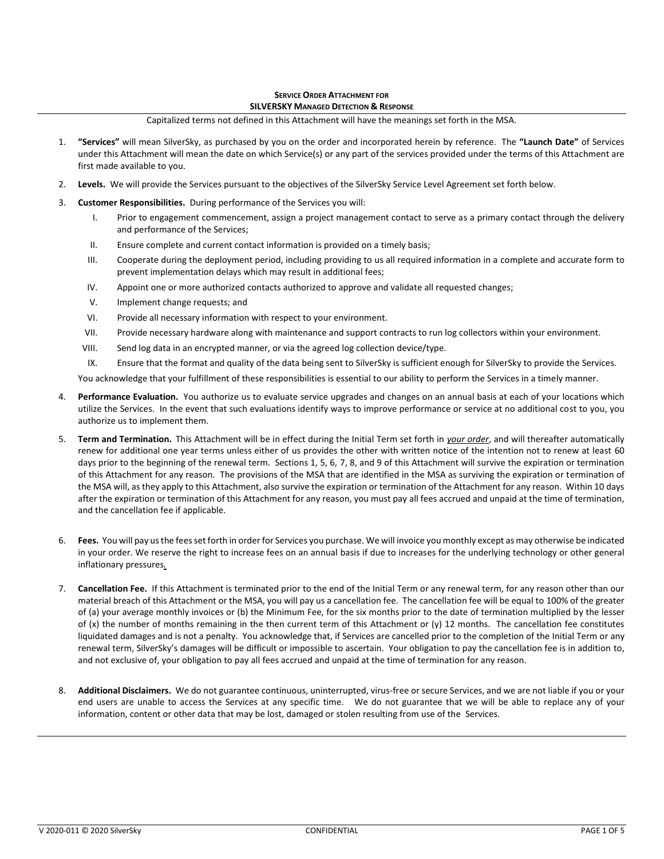### **SERVICE ORDER ATTACHMENT FOR**

#### **SILVERSKY MANAGED DETECTION & RESPONSE**

Capitalized terms not defined in this Attachment will have the meanings set forth in the MSA.

- 1. **"Services"** will mean SilverSky, as purchased by you on the order and incorporated herein by reference. The **"Launch Date"** of Services under this Attachment will mean the date on which Service(s) or any part of the services provided under the terms of this Attachment are first made available to you.
- 2. **Levels.** We will provide the Services pursuant to the objectives of the SilverSky Service Level Agreement set forth below.
- 3. **Customer Responsibilities.** During performance of the Services you will:
	- I. Prior to engagement commencement, assign a project management contact to serve as a primary contact through the delivery and performance of the Services;
	- II. Ensure complete and current contact information is provided on a timely basis;
	- III. Cooperate during the deployment period, including providing to us all required information in a complete and accurate form to prevent implementation delays which may result in additional fees;
	- IV. Appoint one or more authorized contacts authorized to approve and validate all requested changes;
	- V. Implement change requests; and
	- VI. Provide all necessary information with respect to your environment.
	- VII. Provide necessary hardware along with maintenance and support contracts to run log collectors within your environment.
	- VIII. Send log data in an encrypted manner, or via the agreed log collection device/type.
	- IX. Ensure that the format and quality of the data being sent to SilverSky is sufficient enough for SilverSky to provide the Services.

You acknowledge that your fulfillment of these responsibilities is essential to our ability to perform the Services in a timely manner.

- 4. **Performance Evaluation.** You authorize us to evaluate service upgrades and changes on an annual basis at each of your locations which utilize the Services. In the event that such evaluations identify ways to improve performance or service at no additional cost to you, you authorize us to implement them.
- 5. **Term and Termination.** This Attachment will be in effect during the Initial Term set forth in *your order*, and will thereafter automatically renew for additional one year terms unless either of us provides the other with written notice of the intention not to renew at least 60 days prior to the beginning of the renewal term. Sections 1, 5, 6, 7, 8, and 9 of this Attachment will survive the expiration or termination of this Attachment for any reason. The provisions of the MSA that are identified in the MSA as surviving the expiration or termination of the MSA will, as they apply to this Attachment, also survive the expiration or termination of the Attachment for any reason. Within 10 days after the expiration or termination of this Attachment for any reason, you must pay all fees accrued and unpaid at the time of termination, and the cancellation fee if applicable.
- 6. **Fees.** You will pay us the fees set forth in orderfor Services you purchase. We will invoice you monthly except as may otherwise be indicated in your order. We reserve the right to increase fees on an annual basis if due to increases for the underlying technology or other general inflationary pressures*.*
- 7. **Cancellation Fee.** If this Attachment is terminated prior to the end of the Initial Term or any renewal term, for any reason other than our material breach of this Attachment or the MSA, you will pay us a cancellation fee. The cancellation fee will be equal to 100% of the greater of (a) your average monthly invoices or (b) the Minimum Fee, for the six months prior to the date of termination multiplied by the lesser of (x) the number of months remaining in the then current term of this Attachment or (y) 12 months. The cancellation fee constitutes liquidated damages and is not a penalty. You acknowledge that, if Services are cancelled prior to the completion of the Initial Term or any renewal term, SilverSky's damages will be difficult or impossible to ascertain. Your obligation to pay the cancellation fee is in addition to, and not exclusive of, your obligation to pay all fees accrued and unpaid at the time of termination for any reason.
- 8. **Additional Disclaimers.** We do not guarantee continuous, uninterrupted, virus-free or secure Services, and we are not liable if you or your end users are unable to access the Services at any specific time. We do not guarantee that we will be able to replace any of your information, content or other data that may be lost, damaged or stolen resulting from use of the Services.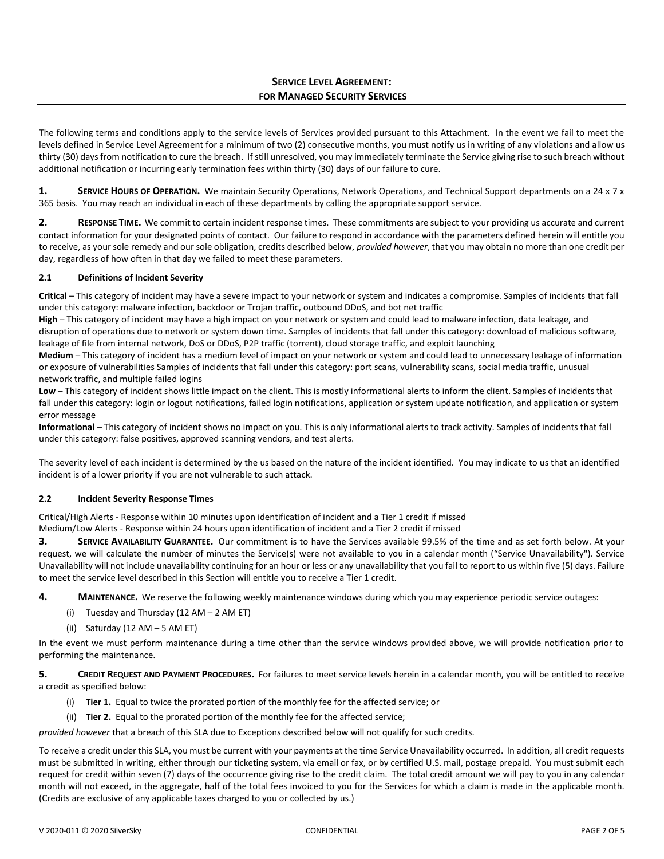# **SERVICE LEVEL AGREEMENT: FOR MANAGED SECURITY SERVICES**

The following terms and conditions apply to the service levels of Services provided pursuant to this Attachment. In the event we fail to meet the levels defined in Service Level Agreement for a minimum of two (2) consecutive months, you must notify us in writing of any violations and allow us thirty (30) days from notification to cure the breach. If still unresolved, you may immediately terminate the Service giving rise to such breach without additional notification or incurring early termination fees within thirty (30) days of our failure to cure.

**1. SERVICE HOURS OF OPERATION.** We maintain Security Operations, Network Operations, and Technical Support departments on a 24 x 7 x 365 basis. You may reach an individual in each of these departments by calling the appropriate support service.

**2. RESPONSE TIME.** We commit to certain incident response times. These commitments are subject to your providing us accurate and current contact information for your designated points of contact. Our failure to respond in accordance with the parameters defined herein will entitle you to receive, as your sole remedy and our sole obligation, credits described below, *provided however*, that you may obtain no more than one credit per day, regardless of how often in that day we failed to meet these parameters.

### **2.1 Definitions of Incident Severity**

**Critical** – This category of incident may have a severe impact to your network or system and indicates a compromise. Samples of incidents that fall under this category: malware infection, backdoor or Trojan traffic, outbound DDoS, and bot net traffic

**High** – This category of incident may have a high impact on your network or system and could lead to malware infection, data leakage, and disruption of operations due to network or system down time. Samples of incidents that fall under this category: download of malicious software, leakage of file from internal network, DoS or DDoS, P2P traffic (torrent), cloud storage traffic, and exploit launching

**Medium** – This category of incident has a medium level of impact on your network or system and could lead to unnecessary leakage of information or exposure of vulnerabilities Samples of incidents that fall under this category: port scans, vulnerability scans, social media traffic, unusual network traffic, and multiple failed logins

**Low** – This category of incident shows little impact on the client. This is mostly informational alerts to inform the client. Samples of incidents that fall under this category: login or logout notifications, failed login notifications, application or system update notification, and application or system error message

**Informational** – This category of incident shows no impact on you. This is only informational alerts to track activity. Samples of incidents that fall under this category: false positives, approved scanning vendors, and test alerts.

The severity level of each incident is determined by the us based on the nature of the incident identified. You may indicate to us that an identified incident is of a lower priority if you are not vulnerable to such attack.

### **2.2 Incident Severity Response Times**

Critical/High Alerts - Response within 10 minutes upon identification of incident and a Tier 1 credit if missed

Medium/Low Alerts - Response within 24 hours upon identification of incident and a Tier 2 credit if missed

**3. SERVICE AVAILABILITY GUARANTEE.** Our commitment is to have the Services available 99.5% of the time and as set forth below. At your request, we will calculate the number of minutes the Service(s) were not available to you in a calendar month ("Service Unavailability"). Service Unavailability will not include unavailability continuing for an hour or less or any unavailability that you fail to report to us within five (5) days. Failure to meet the service level described in this Section will entitle you to receive a Tier 1 credit.

**4. MAINTENANCE.** We reserve the following weekly maintenance windows during which you may experience periodic service outages:

- (i) Tuesday and Thursday (12 AM 2 AM ET)
- (ii) Saturday (12 AM 5 AM ET)

In the event we must perform maintenance during a time other than the service windows provided above, we will provide notification prior to performing the maintenance.

**5. CREDIT REQUEST AND PAYMENT PROCEDURES.** For failures to meet service levels herein in a calendar month, you will be entitled to receive a credit as specified below:

- (i) **Tier 1.** Equal to twice the prorated portion of the monthly fee for the affected service; or
- (ii) **Tier 2.** Equal to the prorated portion of the monthly fee for the affected service;

*provided however* that a breach of this SLA due to Exceptions described below will not qualify for such credits.

To receive a credit under this SLA, you must be current with your payments at the time Service Unavailability occurred. In addition, all credit requests must be submitted in writing, either through our ticketing system, via email or fax, or by certified U.S. mail, postage prepaid. You must submit each request for credit within seven (7) days of the occurrence giving rise to the credit claim. The total credit amount we will pay to you in any calendar month will not exceed, in the aggregate, half of the total fees invoiced to you for the Services for which a claim is made in the applicable month. (Credits are exclusive of any applicable taxes charged to you or collected by us.)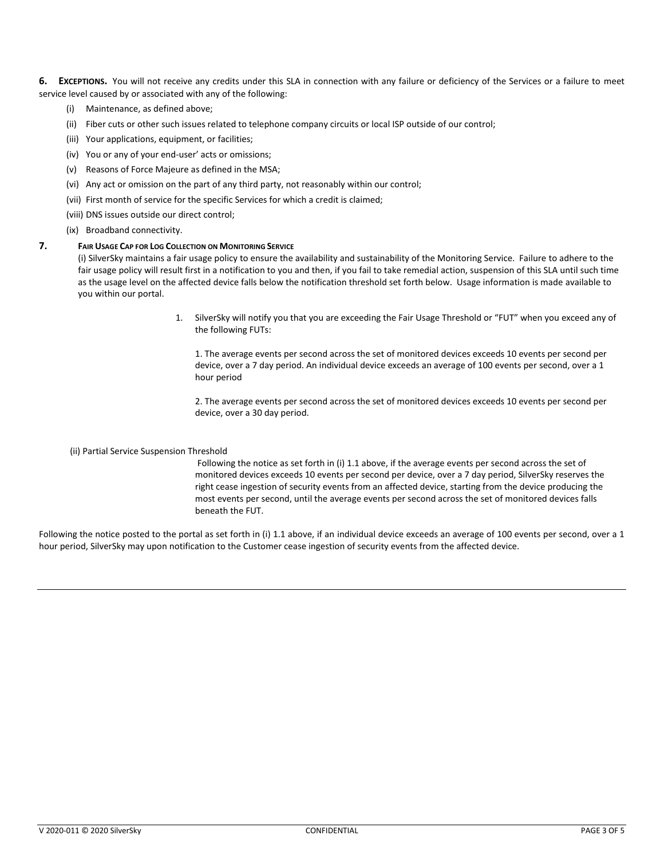**6. EXCEPTIONS.** You will not receive any credits under this SLA in connection with any failure or deficiency of the Services or a failure to meet service level caused by or associated with any of the following:

- (i) Maintenance, as defined above;
- (ii) Fiber cuts or other such issues related to telephone company circuits or local ISP outside of our control;
- (iii) Your applications, equipment, or facilities;
- (iv) You or any of your end-user' acts or omissions;
- (v) Reasons of Force Majeure as defined in the MSA;
- (vi) Any act or omission on the part of any third party, not reasonably within our control;
- (vii) First month of service for the specific Services for which a credit is claimed;
- (viii) DNS issues outside our direct control;
- (ix) Broadband connectivity.

### **7. FAIR USAGE CAP FOR LOG COLLECTION ON MONITORING SERVICE**

(i) SilverSky maintains a fair usage policy to ensure the availability and sustainability of the Monitoring Service. Failure to adhere to the fair usage policy will result first in a notification to you and then, if you fail to take remedial action, suspension of this SLA until such time as the usage level on the affected device falls below the notification threshold set forth below. Usage information is made available to you within our portal.

> 1. SilverSky will notify you that you are exceeding the Fair Usage Threshold or "FUT" when you exceed any of the following FUTs:

1. The average events per second across the set of monitored devices exceeds 10 events per second per device, over a 7 day period. An individual device exceeds an average of 100 events per second, over a 1 hour period

2. The average events per second across the set of monitored devices exceeds 10 events per second per device, over a 30 day period.

### (ii) Partial Service Suspension Threshold

Following the notice as set forth in (i) 1.1 above, if the average events per second across the set of monitored devices exceeds 10 events per second per device, over a 7 day period, SilverSky reserves the right cease ingestion of security events from an affected device, starting from the device producing the most events per second, until the average events per second across the set of monitored devices falls beneath the FUT.

Following the notice posted to the portal as set forth in (i) 1.1 above, if an individual device exceeds an average of 100 events per second, over a 1 hour period, SilverSky may upon notification to the Customer cease ingestion of security events from the affected device.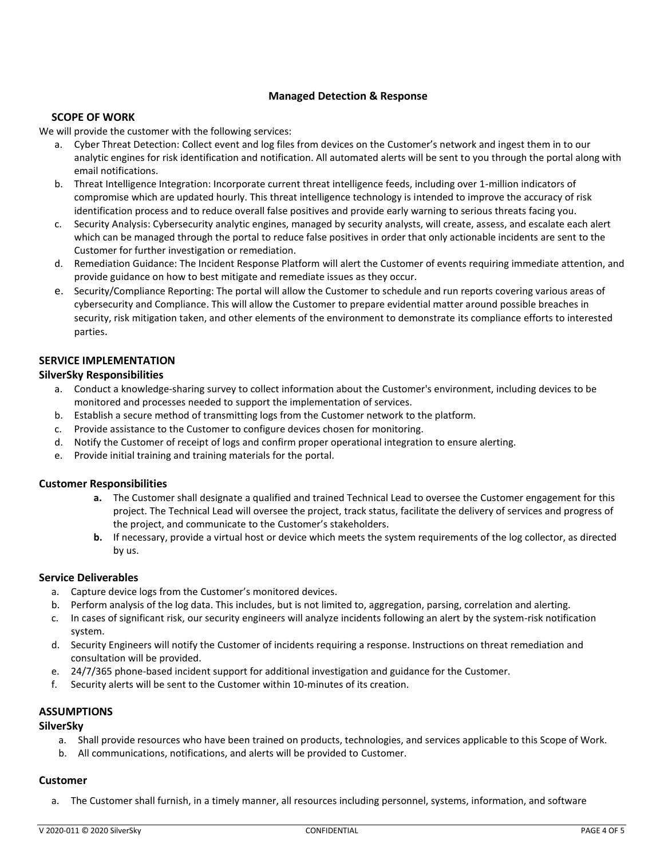# **Managed Detection & Response**

## **SCOPE OF WORK**

We will provide the customer with the following services:

- a. Cyber Threat Detection: Collect event and log files from devices on the Customer's network and ingest them in to our analytic engines for risk identification and notification. All automated alerts will be sent to you through the portal along with email notifications.
- b. Threat Intelligence Integration: Incorporate current threat intelligence feeds, including over 1-million indicators of compromise which are updated hourly. This threat intelligence technology is intended to improve the accuracy of risk identification process and to reduce overall false positives and provide early warning to serious threats facing you.
- c. Security Analysis: Cybersecurity analytic engines, managed by security analysts, will create, assess, and escalate each alert which can be managed through the portal to reduce false positives in order that only actionable incidents are sent to the Customer for further investigation or remediation.
- d. Remediation Guidance: The Incident Response Platform will alert the Customer of events requiring immediate attention, and provide guidance on how to best mitigate and remediate issues as they occur.
- e. Security/Compliance Reporting: The portal will allow the Customer to schedule and run reports covering various areas of cybersecurity and Compliance. This will allow the Customer to prepare evidential matter around possible breaches in security, risk mitigation taken, and other elements of the environment to demonstrate its compliance efforts to interested parties.

# **SERVICE IMPLEMENTATION**

### **SilverSky Responsibilities**

- a. Conduct a knowledge-sharing survey to collect information about the Customer's environment, including devices to be monitored and processes needed to support the implementation of services.
- b. Establish a secure method of transmitting logs from the Customer network to the platform.
- c. Provide assistance to the Customer to configure devices chosen for monitoring.
- d. Notify the Customer of receipt of logs and confirm proper operational integration to ensure alerting.
- e. Provide initial training and training materials for the portal.

### **Customer Responsibilities**

- **a.** The Customer shall designate a qualified and trained Technical Lead to oversee the Customer engagement for this project. The Technical Lead will oversee the project, track status, facilitate the delivery of services and progress of the project, and communicate to the Customer's stakeholders.
- **b.** If necessary, provide a virtual host or device which meets the system requirements of the log collector, as directed by us.

### **Service Deliverables**

- a. Capture device logs from the Customer's monitored devices.
- b. Perform analysis of the log data. This includes, but is not limited to, aggregation, parsing, correlation and alerting.
- c. In cases of significant risk, our security engineers will analyze incidents following an alert by the system-risk notification system.
- d. Security Engineers will notify the Customer of incidents requiring a response. Instructions on threat remediation and consultation will be provided.
- e. 24/7/365 phone-based incident support for additional investigation and guidance for the Customer.
- f. Security alerts will be sent to the Customer within 10-minutes of its creation.

## **ASSUMPTIONS**

## **SilverSky**

- a. Shall provide resources who have been trained on products, technologies, and services applicable to this Scope of Work.
- b. All communications, notifications, and alerts will be provided to Customer.

### **Customer**

a. The Customer shall furnish, in a timely manner, all resources including personnel, systems, information, and software